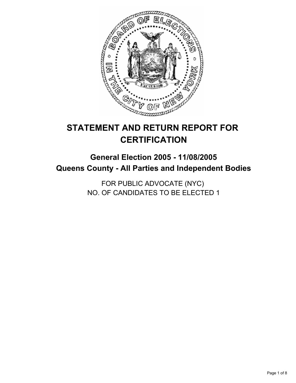

# **STATEMENT AND RETURN REPORT FOR CERTIFICATION**

## **General Election 2005 - 11/08/2005 Queens County - All Parties and Independent Bodies**

FOR PUBLIC ADVOCATE (NYC) NO. OF CANDIDATES TO BE ELECTED 1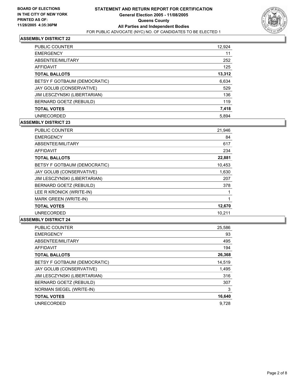

| <b>PUBLIC COUNTER</b>        | 12,924 |
|------------------------------|--------|
| <b>EMERGENCY</b>             | 11     |
| ABSENTEE/MILITARY            | 252    |
| AFFIDAVIT                    | 125    |
| <b>TOTAL BALLOTS</b>         | 13,312 |
| BETSY F GOTBAUM (DEMOCRATIC) | 6,634  |
| JAY GOLUB (CONSERVATIVE)     | 529    |
| JIM LESCZYNSKI (LIBERTARIAN) | 136    |
| BERNARD GOETZ (REBUILD)      | 119    |
| <b>TOTAL VOTES</b>           | 7,418  |
| <b>UNRECORDED</b>            | 5.894  |

#### **ASSEMBLY DISTRICT 23**

| <b>PUBLIC COUNTER</b>        | 21,946 |
|------------------------------|--------|
| <b>EMERGENCY</b>             | 84     |
| ABSENTEE/MILITARY            | 617    |
| <b>AFFIDAVIT</b>             | 234    |
| <b>TOTAL BALLOTS</b>         | 22,881 |
| BETSY F GOTBAUM (DEMOCRATIC) | 10.453 |
| JAY GOLUB (CONSERVATIVE)     | 1,630  |
| JIM LESCZYNSKI (LIBERTARIAN) | 207    |
| BERNARD GOETZ (REBUILD)      | 378    |
| LEE R KRONICK (WRITE-IN)     |        |
| MARK GREEN (WRITE-IN)        |        |
| <b>TOTAL VOTES</b>           | 12,670 |
| <b>UNRECORDED</b>            | 10,211 |

| <b>PUBLIC COUNTER</b>        | 25,586 |
|------------------------------|--------|
| <b>EMERGENCY</b>             | 93     |
| ABSENTEE/MILITARY            | 495    |
| <b>AFFIDAVIT</b>             | 194    |
| <b>TOTAL BALLOTS</b>         | 26,368 |
| BETSY F GOTBAUM (DEMOCRATIC) | 14,519 |
| JAY GOLUB (CONSERVATIVE)     | 1,495  |
| JIM LESCZYNSKI (LIBERTARIAN) | 316    |
| BERNARD GOETZ (REBUILD)      | 307    |
| NORMAN SIEGEL (WRITE-IN)     | 3      |
| <b>TOTAL VOTES</b>           | 16,640 |
| <b>UNRECORDED</b>            | 9.728  |
|                              |        |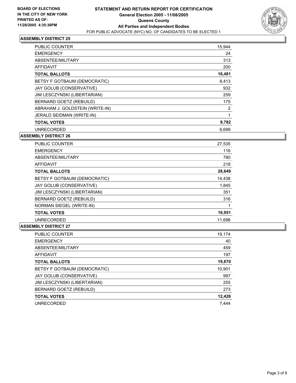

| <b>PUBLIC COUNTER</b>           | 15,944 |  |
|---------------------------------|--------|--|
| <b>EMERGENCY</b>                | 24     |  |
| ABSENTEE/MILITARY               | 313    |  |
| <b>AFFIDAVIT</b>                | 200    |  |
| <b>TOTAL BALLOTS</b>            | 16,481 |  |
| BETSY F GOTBAUM (DEMOCRATIC)    | 8,413  |  |
| JAY GOLUB (CONSERVATIVE)        | 932    |  |
| JIM LESCZYNSKI (LIBERTARIAN)    | 259    |  |
| BERNARD GOETZ (REBUILD)         | 175    |  |
| ABRAHAM J. GOLDSTEIN (WRITE-IN) | 2      |  |
| JERALD SEIDMAN (WRITE-IN)       |        |  |
| <b>TOTAL VOTES</b>              | 9,782  |  |
| <b>UNRECORDED</b>               | 6.699  |  |

#### **ASSEMBLY DISTRICT 26**

| <b>PUBLIC COUNTER</b>        | 27,535 |
|------------------------------|--------|
| <b>EMERGENCY</b>             | 116    |
| ABSENTEE/MILITARY            | 780    |
| AFFIDAVIT                    | 218    |
| <b>TOTAL BALLOTS</b>         | 28,649 |
| BETSY F GOTBAUM (DEMOCRATIC) | 14,438 |
| JAY GOLUB (CONSERVATIVE)     | 1,845  |
| JIM LESCZYNSKI (LIBERTARIAN) | 351    |
| BERNARD GOETZ (REBUILD)      | 316    |
| NORMAN SIEGEL (WRITE-IN)     |        |
| <b>TOTAL VOTES</b>           | 16,951 |
| <b>UNRECORDED</b>            | 11,698 |

| <b>PUBLIC COUNTER</b>        | 19,174 |
|------------------------------|--------|
| <b>EMERGENCY</b>             | 40     |
| ABSENTEE/MILITARY            | 459    |
| AFFIDAVIT                    | 197    |
| <b>TOTAL BALLOTS</b>         | 19,870 |
| BETSY F GOTBAUM (DEMOCRATIC) | 10,901 |
| JAY GOLUB (CONSERVATIVE)     | 997    |
| JIM LESCZYNSKI (LIBERTARIAN) | 255    |
| BERNARD GOETZ (REBUILD)      | 273    |
| <b>TOTAL VOTES</b>           | 12,426 |
| <b>UNRECORDED</b>            | 7.444  |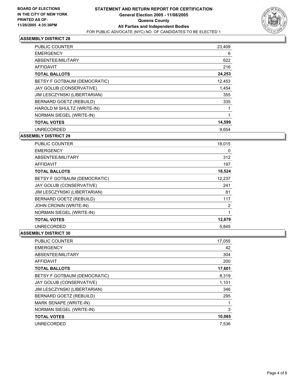

| <b>PUBLIC COUNTER</b>        | 23,409 |  |
|------------------------------|--------|--|
| <b>EMERGENCY</b>             | 6      |  |
| ABSENTEE/MILITARY            | 622    |  |
| AFFIDAVIT                    | 216    |  |
| <b>TOTAL BALLOTS</b>         | 24,253 |  |
| BETSY F GOTBAUM (DEMOCRATIC) | 12,453 |  |
| JAY GOLUB (CONSERVATIVE)     | 1,454  |  |
| JIM LESCZYNSKI (LIBERTARIAN) | 355    |  |
| BERNARD GOETZ (REBUILD)      | 335    |  |
| HAROLD M SHULTZ (WRITE-IN)   |        |  |
| NORMAN SIEGEL (WRITE-IN)     |        |  |
| <b>TOTAL VOTES</b>           | 14,599 |  |
| <b>UNRECORDED</b>            | 9,654  |  |

#### **ASSEMBLY DISTRICT 29**

| <b>PUBLIC COUNTER</b>        | 18,015 |  |
|------------------------------|--------|--|
| <b>EMERGENCY</b>             | 0      |  |
| ABSENTEE/MILITARY            | 312    |  |
| <b>AFFIDAVIT</b>             | 197    |  |
| <b>TOTAL BALLOTS</b>         | 18,524 |  |
| BETSY F GOTBAUM (DEMOCRATIC) | 12,237 |  |
| JAY GOLUB (CONSERVATIVE)     | 241    |  |
| JIM LESCZYNSKI (LIBERTARIAN) | 81     |  |
| BERNARD GOETZ (REBUILD)      | 117    |  |
| JOHN CRONIN (WRITE-IN)       | 2      |  |
| NORMAN SIEGEL (WRITE-IN)     |        |  |
| <b>TOTAL VOTES</b>           | 12,679 |  |
| <b>UNRECORDED</b>            | 5,845  |  |

| PUBLIC COUNTER               | 17,055 |
|------------------------------|--------|
| <b>EMERGENCY</b>             | 42     |
| ABSENTEE/MILITARY            | 304    |
| <b>AFFIDAVIT</b>             | 200    |
| <b>TOTAL BALLOTS</b>         | 17,601 |
| BETSY F GOTBAUM (DEMOCRATIC) | 8,319  |
| JAY GOLUB (CONSERVATIVE)     | 1,101  |
| JIM LESCZYNSKI (LIBERTARIAN) | 346    |
| BERNARD GOETZ (REBUILD)      | 295    |
| MARK SENAPE (WRITE-IN)       |        |
| NORMAN SIEGEL (WRITE-IN)     | 3      |
| <b>TOTAL VOTES</b>           | 10,065 |
| <b>UNRECORDED</b>            | 7.536  |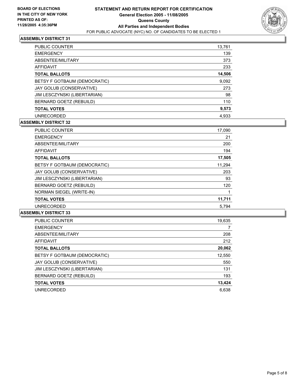

| <b>PUBLIC COUNTER</b>        | 13,761 |  |
|------------------------------|--------|--|
| <b>EMERGENCY</b>             | 139    |  |
| ABSENTEE/MILITARY            | 373    |  |
| AFFIDAVIT                    | 233    |  |
| <b>TOTAL BALLOTS</b>         | 14,506 |  |
| BETSY F GOTBAUM (DEMOCRATIC) | 9,092  |  |
| JAY GOLUB (CONSERVATIVE)     | 273    |  |
| JIM LESCZYNSKI (LIBERTARIAN) | 98     |  |
| BERNARD GOETZ (REBUILD)      | 110    |  |
| <b>TOTAL VOTES</b>           | 9,573  |  |
| <b>UNRECORDED</b>            | 4.933  |  |

## **ASSEMBLY DISTRICT 32**

| <b>PUBLIC COUNTER</b>        | 17,090 |
|------------------------------|--------|
| <b>EMERGENCY</b>             | 21     |
| ABSENTEE/MILITARY            | 200    |
| <b>AFFIDAVIT</b>             | 194    |
| <b>TOTAL BALLOTS</b>         | 17,505 |
| BETSY F GOTBAUM (DEMOCRATIC) | 11,294 |
| JAY GOLUB (CONSERVATIVE)     | 203    |
| JIM LESCZYNSKI (LIBERTARIAN) | 93     |
| BERNARD GOETZ (REBUILD)      | 120    |
| NORMAN SIEGEL (WRITE-IN)     |        |
| <b>TOTAL VOTES</b>           | 11,711 |
| <b>UNRECORDED</b>            | 5.794  |

| <b>PUBLIC COUNTER</b>        | 19,635 |
|------------------------------|--------|
| <b>EMERGENCY</b>             |        |
| ABSENTEE/MILITARY            | 208    |
| AFFIDAVIT                    | 212    |
| <b>TOTAL BALLOTS</b>         | 20,062 |
| BETSY F GOTBAUM (DEMOCRATIC) | 12,550 |
| JAY GOLUB (CONSERVATIVE)     | 550    |
| JIM LESCZYNSKI (LIBERTARIAN) | 131    |
| BERNARD GOETZ (REBUILD)      | 193    |
| <b>TOTAL VOTES</b>           | 13,424 |
| <b>UNRECORDED</b>            | 6,638  |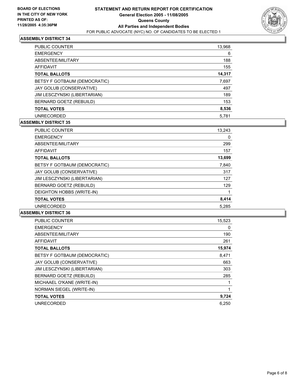

| <b>PUBLIC COUNTER</b>        | 13,968 |
|------------------------------|--------|
| <b>EMERGENCY</b>             | 6      |
| ABSENTEE/MILITARY            | 188    |
| AFFIDAVIT                    | 155    |
| <b>TOTAL BALLOTS</b>         | 14,317 |
| BETSY F GOTBAUM (DEMOCRATIC) | 7,697  |
| JAY GOLUB (CONSERVATIVE)     | 497    |
| JIM LESCZYNSKI (LIBERTARIAN) | 189    |
| BERNARD GOETZ (REBUILD)      | 153    |
| <b>TOTAL VOTES</b>           | 8,536  |
| <b>UNRECORDED</b>            | 5,781  |

## **ASSEMBLY DISTRICT 35**

| <b>PUBLIC COUNTER</b>        | 13,243 |
|------------------------------|--------|
| <b>EMERGENCY</b>             | 0      |
| ABSENTEE/MILITARY            | 299    |
| <b>AFFIDAVIT</b>             | 157    |
| <b>TOTAL BALLOTS</b>         | 13,699 |
| BETSY F GOTBAUM (DEMOCRATIC) | 7,840  |
| JAY GOLUB (CONSERVATIVE)     | 317    |
| JIM LESCZYNSKI (LIBERTARIAN) | 127    |
| BERNARD GOETZ (REBUILD)      | 129    |
| DEIGHTON HOBBS (WRITE-IN)    |        |
| <b>TOTAL VOTES</b>           | 8,414  |
| <b>UNRECORDED</b>            | 5,285  |

| <b>PUBLIC COUNTER</b>        | 15,523 |
|------------------------------|--------|
| <b>EMERGENCY</b>             | 0      |
| ABSENTEE/MILITARY            | 190    |
| AFFIDAVIT                    | 261    |
| <b>TOTAL BALLOTS</b>         | 15,974 |
| BETSY F GOTBAUM (DEMOCRATIC) | 8,471  |
| JAY GOLUB (CONSERVATIVE)     | 663    |
| JIM LESCZYNSKI (LIBERTARIAN) | 303    |
| BERNARD GOETZ (REBUILD)      | 285    |
| MICHAAEL O'KANE (WRITE-IN)   |        |
| NORMAN SIEGEL (WRITE-IN)     |        |
| <b>TOTAL VOTES</b>           | 9,724  |
| <b>UNRECORDED</b>            | 6.250  |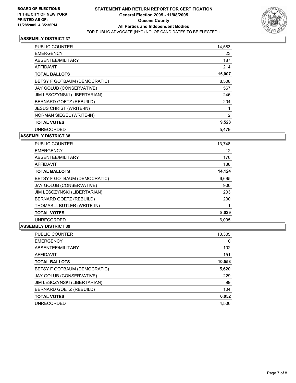

| PUBLIC COUNTER                 | 14,583 |  |
|--------------------------------|--------|--|
| <b>EMERGENCY</b>               | 23     |  |
| ABSENTEE/MILITARY              | 187    |  |
| <b>AFFIDAVIT</b>               | 214    |  |
| <b>TOTAL BALLOTS</b>           | 15,007 |  |
| BETSY F GOTBAUM (DEMOCRATIC)   | 8,508  |  |
| JAY GOLUB (CONSERVATIVE)       | 567    |  |
| JIM LESCZYNSKI (LIBERTARIAN)   | 246    |  |
| BERNARD GOETZ (REBUILD)        | 204    |  |
| <b>JESUS CHRIST (WRITE-IN)</b> |        |  |
| NORMAN SIEGEL (WRITE-IN)       | 2      |  |
| <b>TOTAL VOTES</b>             | 9,528  |  |
| <b>UNRECORDED</b>              | 5,479  |  |

#### **ASSEMBLY DISTRICT 38**

| <b>PUBLIC COUNTER</b>        | 13,748 |
|------------------------------|--------|
| <b>EMERGENCY</b>             | 12     |
| ABSENTEE/MILITARY            | 176    |
| AFFIDAVIT                    | 188    |
| <b>TOTAL BALLOTS</b>         | 14,124 |
| BETSY F GOTBAUM (DEMOCRATIC) | 6,695  |
| JAY GOLUB (CONSERVATIVE)     | 900    |
| JIM LESCZYNSKI (LIBERTARIAN) | 203    |
| BERNARD GOETZ (REBUILD)      | 230    |
| THOMAS J. BUTLER (WRITE-IN)  |        |
| <b>TOTAL VOTES</b>           | 8,029  |
| <b>UNRECORDED</b>            | 6,095  |

| <b>PUBLIC COUNTER</b>        | 10,305 |
|------------------------------|--------|
| <b>EMERGENCY</b>             | 0      |
| ABSENTEE/MILITARY            | 102    |
| AFFIDAVIT                    | 151    |
| <b>TOTAL BALLOTS</b>         | 10,558 |
| BETSY F GOTBAUM (DEMOCRATIC) | 5,620  |
| JAY GOLUB (CONSERVATIVE)     | 229    |
| JIM LESCZYNSKI (LIBERTARIAN) | 99     |
| BERNARD GOETZ (REBUILD)      | 104    |
| <b>TOTAL VOTES</b>           | 6,052  |
| <b>UNRECORDED</b>            | 4,506  |
|                              |        |